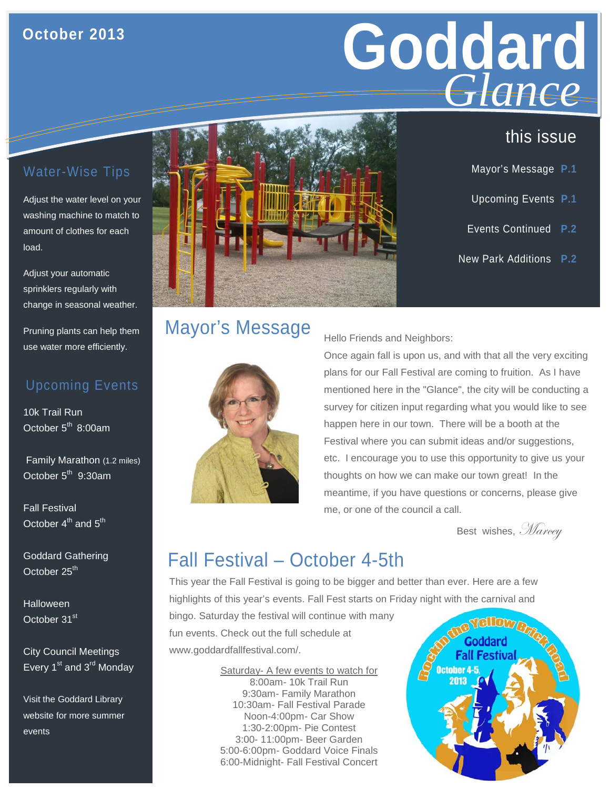#### **October 2013**

# **Goddard**  *Glance*

this issue

Mayor's Message **P.1**

Upcoming Events **P.1**

Events Continued **P.2**

New Park Additions **P.2**

### Water-Wise Tips

Adjust the water level on your washing machine to match to amount of clothes for each load.

Adjust your automatic sprinklers regularly with change in seasonal weather.

Pruning plants can help them use water more efficiently.

#### Upcoming Events

10k Trail Run October 5<sup>th</sup> 8:00am

Family Marathon (1.2 miles) October  $5<sup>th</sup>$  9:30am

Fall Festival October  $4^{th}$  and  $5^{th}$ 

Goddard Gathering October 25<sup>th</sup>

Halloween October 31<sup>st</sup>

City Council Meetings Every  $1^{st}$  and  $3^{rd}$  Monday

Visit the Goddard Library website for more summer events



## Mayor's Message



Hello Friends and Neighbors:

Once again fall is upon us, and with that all the very exciting plans for our Fall Festival are coming to fruition. As I have mentioned here in the "Glance", the city will be conducting a survey for citizen input regarding what you would like to see happen here in our town. There will be a booth at the Festival where you can submit ideas and/or suggestions, etc. I encourage you to use this opportunity to give us your thoughts on how we can make our town great! In the meantime, if you have questions or concerns, please give me, or one of the council a call.

Best wishes, Marcey

## Fall Festival – October 4-5th

This year the Fall Festival is going to be bigger and better than ever. Here are a few highlights of this year's events. Fall Fest starts on Friday night with the carnival and

bingo. Saturday the festival will continue with many fun events. Check out the full schedule at [www.goddardfallfestival.com/.](http://www.goddardfallfestival.com/)

> Saturday- A few events to watch for 8:00am- 10k Trail Run 9:30am- Family Marathon 10:30am- Fall Festival Parade Noon-4:00pm- Car Show 1:30-2:00pm- Pie Contest 3:00- 11:00pm- Beer Garden 5:00-6:00pm- Goddard Voice Finals 6:00-Midnight- Fall Festival Concert